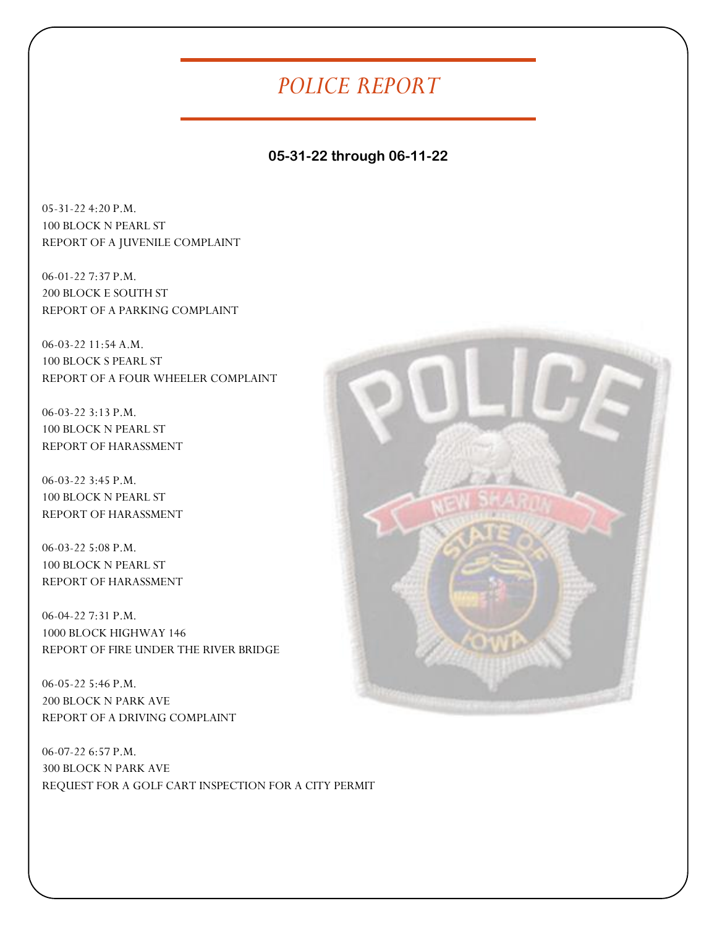## *POLICE REPORT*

## **05-31-22 through 06-11-22**

05-31-22 4:20 P.M. 100 BLOCK N PEARL ST REPORT OF A JUVENILE COMPLAINT

06-01-22 7:37 P.M. 200 BLOCK E SOUTH ST REPORT OF A PARKING COMPLAINT

06-03-22 11:54 A.M. 100 BLOCK S PEARL ST REPORT OF A FOUR WHEELER COMPLAINT

06-03-22 3:13 P.M. 100 BLOCK N PEARL ST REPORT OF HARASSMENT

06-03-22 3:45 P.M. 100 BLOCK N PEARL ST REPORT OF HARASSMENT

06-03-22 5:08 P.M. 100 BLOCK N PEARL ST REPORT OF HARASSMENT

06-04-22 7:31 P.M. 1000 BLOCK HIGHWAY 146 REPORT OF FIRE UNDER THE RIVER BRIDGE

06-05-22 5:46 P.M. 200 BLOCK N PARK AVE REPORT OF A DRIVING COMPLAINT

06-07-22 6:57 P.M. 300 BLOCK N PARK AVE REQUEST FOR A GOLF CART INSPECTION FOR A CITY PERMIT